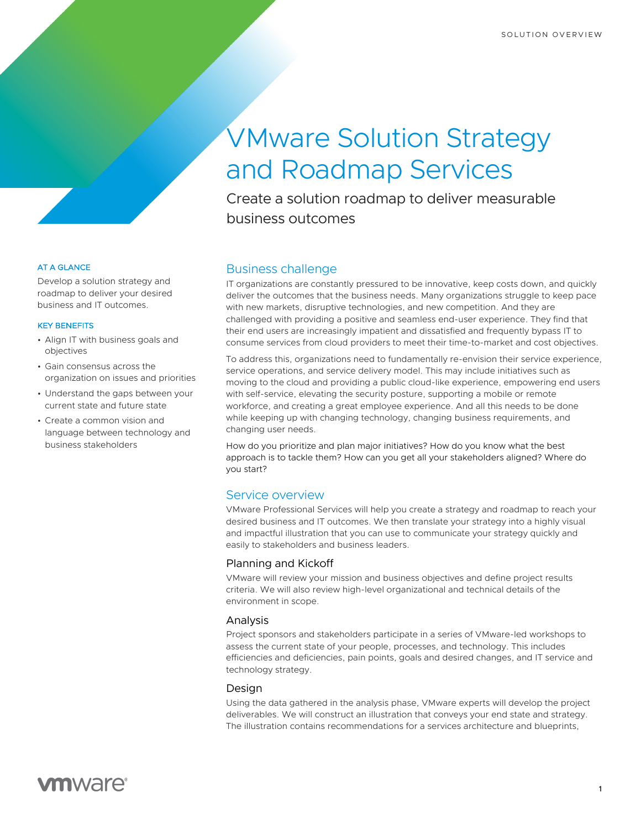# VMware Solution Strategy and Roadmap Services

Create a solution roadmap to deliver measurable business outcomes

# Business challenge

IT organizations are constantly pressured to be innovative, keep costs down, and quickly deliver the outcomes that the business needs. Many organizations struggle to keep pace with new markets, disruptive technologies, and new competition. And they are challenged with providing a positive and seamless end-user experience. They find that their end users are increasingly impatient and dissatisfied and frequently bypass IT to consume services from cloud providers to meet their time-to-market and cost objectives.

To address this, organizations need to fundamentally re-envision their service experience, service operations, and service delivery model. This may include initiatives such as moving to the cloud and providing a public cloud-like experience, empowering end users with self-service, elevating the security posture, supporting a mobile or remote workforce, and creating a great employee experience. And all this needs to be done while keeping up with changing technology, changing business requirements, and changing user needs.

How do you prioritize and plan major initiatives? How do you know what the best approach is to tackle them? How can you get all your stakeholders aligned? Where do you start?

# Service overview

VMware Professional Services will help you create a strategy and roadmap to reach your desired business and IT outcomes. We then translate your strategy into a highly visual and impactful illustration that you can use to communicate your strategy quickly and easily to stakeholders and business leaders.

# Planning and Kickoff

VMware will review your mission and business objectives and define project results criteria. We will also review high-level organizational and technical details of the environment in scope.

# Analysis

Project sponsors and stakeholders participate in a series of VMware-led workshops to assess the current state of your people, processes, and technology. This includes efficiencies and deficiencies, pain points, goals and desired changes, and IT service and technology strategy.

#### Design

Using the data gathered in the analysis phase, VMware experts will develop the project deliverables. We will construct an illustration that conveys your end state and strategy. The illustration contains recommendations for a services architecture and blueprints,

#### AT A GLANCE

Develop a solution strategy and roadmap to deliver your desired business and IT outcomes.

#### KEY BENEFITS

- Align IT with business goals and objectives
- Gain consensus across the organization on issues and priorities
- Understand the gaps between your current state and future state
- Create a common vision and language between technology and business stakeholders